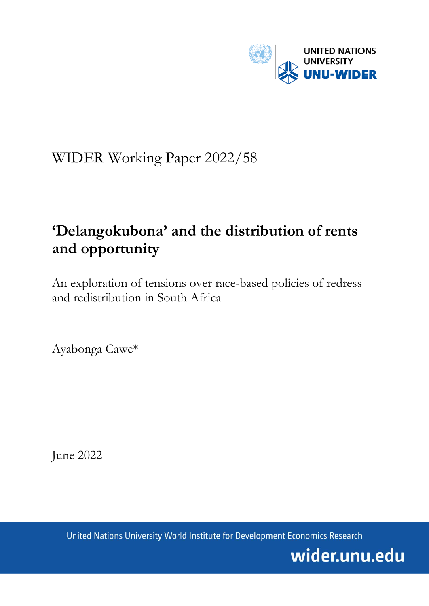

# WIDER Working Paper 2022/58

# **'Delangokubona' and the distribution of rents and opportunity**

An exploration of tensions over race-based policies of redress and redistribution in South Africa

Ayabonga Cawe\*

June 2022

United Nations University World Institute for Development Economics Research

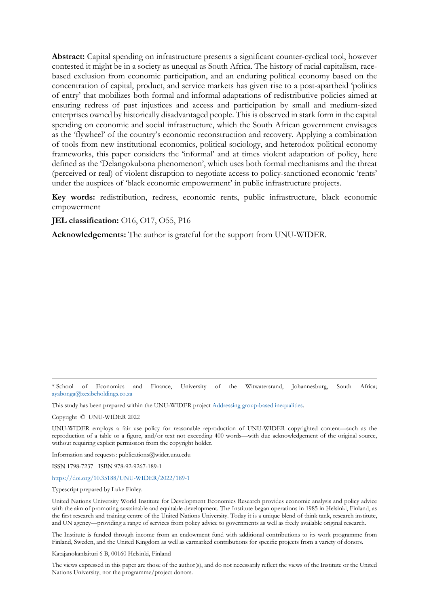**Abstract:** Capital spending on infrastructure presents a significant counter-cyclical tool, however contested it might be in a society as unequal as South Africa. The history of racial capitalism, racebased exclusion from economic participation, and an enduring political economy based on the concentration of capital, product, and service markets has given rise to a post-apartheid 'politics of entry' that mobilizes both formal and informal adaptations of redistributive policies aimed at ensuring redress of past injustices and access and participation by small and medium-sized enterprises owned by historically disadvantaged people. This is observed in stark form in the capital spending on economic and social infrastructure, which the South African government envisages as the 'flywheel' of the country's economic reconstruction and recovery. Applying a combination of tools from new institutional economics, political sociology, and heterodox political economy frameworks, this paper considers the 'informal' and at times violent adaptation of policy, here defined as the 'Delangokubona phenomenon', which uses both formal mechanisms and the threat (perceived or real) of violent disruption to negotiate access to policy-sanctioned economic 'rents' under the auspices of 'black economic empowerment' in public infrastructure projects.

**Key words:** redistribution, redress, economic rents, public infrastructure, black economic empowerment

**JEL classification:** O16, O17, O55, P16

**Acknowledgements:** The author is grateful for the support from UNU-WIDER.

\* School of Economics and Finance, University of the Witwatersrand, Johannesburg, South Africa; [ayabonga@xesibeholdings.co.za](mailto:ayabonga@xesibeholdings.co.za)

This study has been prepared within the UNU-WIDER projec[t Addressing group-based inequalities.](https://www.wider.unu.edu/node/237111)

Copyright © UNU-WIDER 2022

UNU-WIDER employs a fair use policy for reasonable reproduction of UNU-WIDER copyrighted content—such as the reproduction of a table or a figure, and/or text not exceeding 400 words—with due acknowledgement of the original source, without requiring explicit permission from the copyright holder.

Information and requests: publications@wider.unu.edu

ISSN 1798-7237 ISBN 978-92-9267-189-1

<https://doi.org/10.35188/UNU-WIDER/2022/189-1>

Typescript prepared by Luke Finley.

United Nations University World Institute for Development Economics Research provides economic analysis and policy advice with the aim of promoting sustainable and equitable development. The Institute began operations in 1985 in Helsinki, Finland, as the first research and training centre of the United Nations University. Today it is a unique blend of think tank, research institute, and UN agency—providing a range of services from policy advice to governments as well as freely available original research.

The Institute is funded through income from an endowment fund with additional contributions to its work programme from Finland, Sweden, and the United Kingdom as well as earmarked contributions for specific projects from a variety of donors.

Katajanokanlaituri 6 B, 00160 Helsinki, Finland

The views expressed in this paper are those of the author(s), and do not necessarily reflect the views of the Institute or the United Nations University, nor the programme/project donors.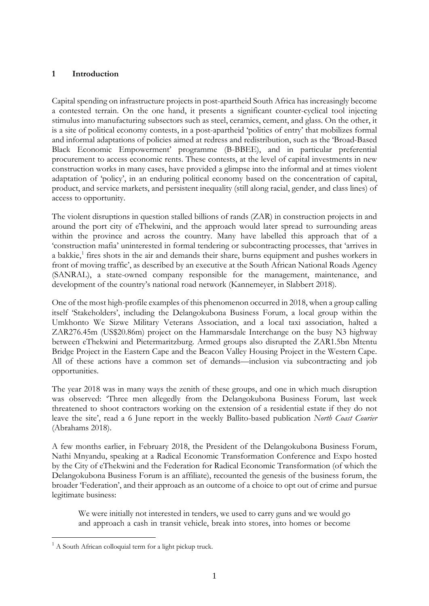#### **1 Introduction**

Capital spending on infrastructure projects in post-apartheid South Africa has increasingly become a contested terrain. On the one hand, it presents a significant counter-cyclical tool injecting stimulus into manufacturing subsectors such as steel, ceramics, cement, and glass. On the other, it is a site of political economy contests, in a post-apartheid 'politics of entry' that mobilizes formal and informal adaptations of policies aimed at redress and redistribution, such as the 'Broad-Based Black Economic Empowerment' programme (B-BBEE), and in particular preferential procurement to access economic rents. These contests, at the level of capital investments in new construction works in many cases, have provided a glimpse into the informal and at times violent adaptation of 'policy', in an enduring political economy based on the concentration of capital, product, and service markets, and persistent inequality (still along racial, gender, and class lines) of access to opportunity.

The violent disruptions in question stalled billions of rands (ZAR) in construction projects in and around the port city of eThekwini, and the approach would later spread to surrounding areas within the province and across the country. Many have labelled this approach that of a 'construction mafia' uninterested in formal tendering or subcontracting processes, that 'arrives in a bakkie,<sup>[1](#page-2-0)</sup> fires shots in the air and demands their share, burns equipment and pushes workers in front of moving traffic', as described by an executive at the South African National Roads Agency (SANRAL), a state-owned company responsible for the management, maintenance, and development of the country's national road network (Kannemeyer, in Slabbert 2018).

One of the most high-profile examples of this phenomenon occurred in 2018, when a group calling itself 'Stakeholders', including the Delangokubona Business Forum, a local group within the Umkhonto We Sizwe Military Veterans Association, and a local taxi association, halted a ZAR276.45m (US\$20.86m) project on the Hammarsdale Interchange on the busy N3 highway between eThekwini and Pietermaritzburg. Armed groups also disrupted the ZAR1.5bn Mtentu Bridge Project in the Eastern Cape and the Beacon Valley Housing Project in the Western Cape. All of these actions have a common set of demands—inclusion via subcontracting and job opportunities.

The year 2018 was in many ways the zenith of these groups, and one in which much disruption was observed: 'Three men allegedly from the Delangokubona Business Forum, last week threatened to shoot contractors working on the extension of a residential estate if they do not leave the site', read a 6 June report in the weekly Ballito-based publication *North Coast Courier* (Abrahams 2018).

A few months earlier, in February 2018, the President of the Delangokubona Business Forum, Nathi Mnyandu, speaking at a Radical Economic Transformation Conference and Expo hosted by the City of eThekwini and the Federation for Radical Economic Transformation (of which the Delangokubona Business Forum is an affiliate), recounted the genesis of the business forum, the broader 'Federation', and their approach as an outcome of a choice to opt out of crime and pursue legitimate business:

We were initially not interested in tenders, we used to carry guns and we would go and approach a cash in transit vehicle, break into stores, into homes or become

<span id="page-2-0"></span> $<sup>1</sup>$  A South African colloquial term for a light pickup truck.</sup>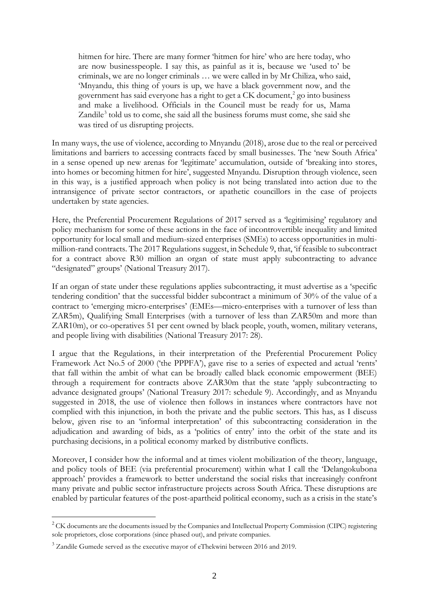hitmen for hire. There are many former 'hitmen for hire' who are here today, who are now businesspeople. I say this, as painful as it is, because we 'used to' be criminals, we are no longer criminals … we were called in by Mr Chiliza, who said, 'Mnyandu, this thing of yours is up, we have a black government now, and the government has said everyone has a right to get a CK document, [2](#page-3-0) go into business and make a livelihood. Officials in the Council must be ready for us, Mama Zandile<sup>[3](#page-3-1)</sup> told us to come, she said all the business forums must come, she said she was tired of us disrupting projects.

In many ways, the use of violence, according to Mnyandu (2018), arose due to the real or perceived limitations and barriers to accessing contracts faced by small businesses. The 'new South Africa' in a sense opened up new arenas for 'legitimate' accumulation, outside of 'breaking into stores, into homes or becoming hitmen for hire', suggested Mnyandu. Disruption through violence, seen in this way, is a justified approach when policy is not being translated into action due to the intransigence of private sector contractors, or apathetic councillors in the case of projects undertaken by state agencies.

Here, the Preferential Procurement Regulations of 2017 served as a 'legitimising' regulatory and policy mechanism for some of these actions in the face of incontrovertible inequality and limited opportunity for local small and medium-sized enterprises (SMEs) to access opportunities in multimillion-rand contracts. The 2017 Regulations suggest, in Schedule 9, that, 'if feasible to subcontract for a contract above R30 million an organ of state must apply subcontracting to advance "designated" groups' (National Treasury 2017).

If an organ of state under these regulations applies subcontracting, it must advertise as a 'specific tendering condition' that the successful bidder subcontract a minimum of 30% of the value of a contract to 'emerging micro-enterprises' (EMEs—micro-enterprises with a turnover of less than ZAR5m), Qualifying Small Enterprises (with a turnover of less than ZAR50m and more than ZAR10m), or co-operatives 51 per cent owned by black people, youth, women, military veterans, and people living with disabilities (National Treasury 2017: 28).

I argue that the Regulations, in their interpretation of the Preferential Procurement Policy Framework Act No.5 of 2000 ('the PPPFA'), gave rise to a series of expected and actual 'rents' that fall within the ambit of what can be broadly called black economic empowerment (BEE) through a requirement for contracts above ZAR30m that the state 'apply subcontracting to advance designated groups' (National Treasury 2017: schedule 9). Accordingly, and as Mnyandu suggested in 2018, the use of violence then follows in instances where contractors have not complied with this injunction, in both the private and the public sectors. This has, as I discuss below, given rise to an 'informal interpretation' of this subcontracting consideration in the adjudication and awarding of bids, as a 'politics of entry' into the orbit of the state and its purchasing decisions, in a political economy marked by distributive conflicts.

Moreover, I consider how the informal and at times violent mobilization of the theory, language, and policy tools of BEE (via preferential procurement) within what I call the 'Delangokubona approach' provides a framework to better understand the social risks that increasingly confront many private and public sector infrastructure projects across South Africa. These disruptions are enabled by particular features of the post-apartheid political economy, such as a crisis in the state's

<span id="page-3-0"></span><sup>&</sup>lt;sup>2</sup> CK documents are the documents issued by the Companies and Intellectual Property Commission (CIPC) registering sole proprietors, close corporations (since phased out), and private companies.

<span id="page-3-1"></span><sup>&</sup>lt;sup>3</sup> Zandile Gumede served as the executive mayor of eThekwini between 2016 and 2019.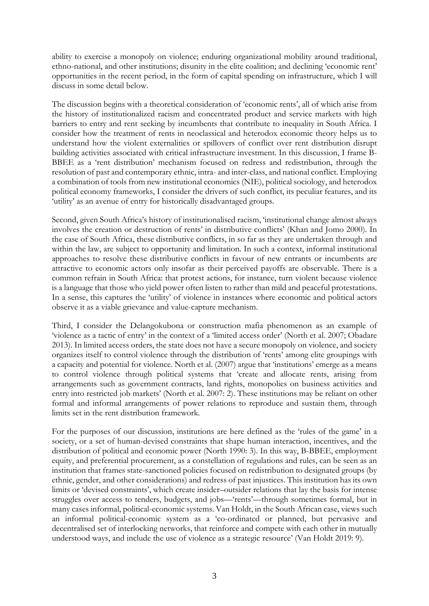ability to exercise a monopoly on violence; enduring organizational mobility around traditional, ethno-national, and other institutions; disunity in the elite coalition; and declining 'economic rent' opportunities in the recent period, in the form of capital spending on infrastructure, which I will discuss in some detail below.

The discussion begins with a theoretical consideration of 'economic rents', all of which arise from the history of institutionalized racism and concentrated product and service markets with high barriers to entry and rent seeking by incumbents that contribute to inequality in South Africa. I consider how the treatment of rents in neoclassical and heterodox economic theory helps us to understand how the violent externalities or spillovers of conflict over rent distribution disrupt building activities associated with critical infrastructure investment. In this discussion, I frame B-BBEE as a 'rent distribution' mechanism focused on redress and redistribution, through the resolution of past and contemporary ethnic, intra- and inter-class, and national conflict. Employing a combination of tools from new institutional economics (NIE), political sociology, and heterodox political economy frameworks, I consider the drivers of such conflict, its peculiar features, and its 'utility' as an avenue of entry for historically disadvantaged groups.

Second, given South Africa's history of institutionalised racism, 'institutional change almost always involves the creation or destruction of rents' in distributive conflicts' (Khan and Jomo 2000). In the case of South Africa, these distributive conflicts, in so far as they are undertaken through and within the law, are subject to opportunity and limitation. In such a context, informal institutional approaches to resolve these distributive conflicts in favour of new entrants or incumbents are attractive to economic actors only insofar as their perceived payoffs are observable. There is a common refrain in South Africa: that protest actions, for instance, turn violent because violence is a language that those who yield power often listen to rather than mild and peaceful protestations. In a sense, this captures the 'utility' of violence in instances where economic and political actors observe it as a viable grievance and value-capture mechanism.

Third, I consider the Delangokubona or construction mafia phenomenon as an example of 'violence as a tactic of entry' in the context of a 'limited access order' (North et al. 2007; Obadare 2013). In limited access orders, the state does not have a secure monopoly on violence, and society organizes itself to control violence through the distribution of 'rents' among elite groupings with a capacity and potential for violence. North et al. (2007) argue that 'institutions' emerge as a means to control violence through political systems that 'create and allocate rents, arising from arrangements such as government contracts, land rights, monopolies on business activities and entry into restricted job markets' (North et al. 2007: 2). These institutions may be reliant on other formal and informal arrangements of power relations to reproduce and sustain them, through limits set in the rent distribution framework.

For the purposes of our discussion, institutions are here defined as the 'rules of the game' in a society, or a set of human-devised constraints that shape human interaction, incentives, and the distribution of political and economic power (North 1990: 3). In this way, B-BBEE, employment equity, and preferential procurement, as a constellation of regulations and rules, can be seen as an institution that frames state-sanctioned policies focused on redistribution to designated groups (by ethnic, gender, and other considerations) and redress of past injustices. This institution has its own limits or 'devised constraints', which create insider–outsider relations that lay the basis for intense struggles over access to tenders, budgets, and jobs—'rents'—through sometimes formal, but in many cases informal, political-economic systems. Van Holdt, in the South African case, views such an informal political-economic system as a 'co-ordinated or planned, but pervasive and decentralised set of interlocking networks, that reinforce and compete with each other in mutually understood ways, and include the use of violence as a strategic resource' (Van Holdt 2019: 9).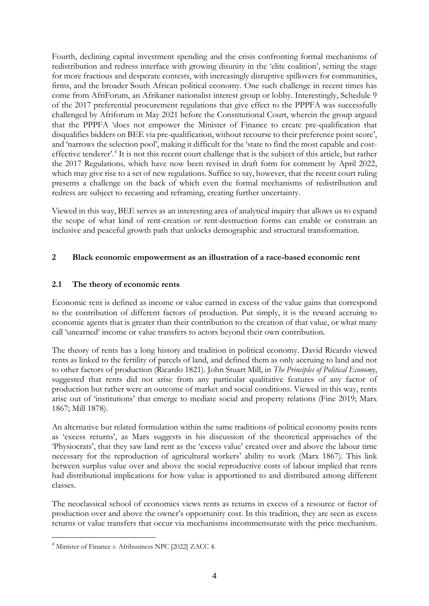Fourth, declining capital investment spending and the crisis confronting formal mechanisms of redistribution and redress interface with growing disunity in the 'elite coalition', setting the stage for more fractious and desperate contests, with increasingly disruptive spillovers for communities, firms, and the broader South African political economy. One such challenge in recent times has come from AfriForum, an Afrikaner nationalist interest group or lobby. Interestingly, Schedule 9 of the 2017 preferential procurement regulations that give effect to the PPPFA was successfully challenged by Afriforum in May 2021 before the Constitutional Court, wherein the group argued that the PPPFA 'does not empower the Minister of Finance to create pre-qualification that disqualifies bidders on BEE via pre-qualification, without recourse to their preference point score', and 'narrows the selection pool', making it difficult for the 'state to find the most capable and costeffective tenderer'.[4](#page-5-0) It is not this recent court challenge that is the subject of this article, but rather the 2017 Regulations*,* which have now been revised in draft form for comment by April 2022, which may give rise to a set of new regulations. Suffice to say, however, that the recent court ruling presents a challenge on the back of which even the formal mechanisms of redistribution and redress are subject to recasting and reframing, creating further uncertainty.

Viewed in this way, BEE serves as an interesting area of analytical inquiry that allows us to expand the scope of what kind of rent-creation or rent-destruction forms can enable or constrain an inclusive and peaceful growth path that unlocks demographic and structural transformation.

## **2 Black economic empowerment as an illustration of a race-based economic rent**

## **2.1 The theory of economic rents**

Economic rent is defined as income or value earned in excess of the value gains that correspond to the contribution of different factors of production. Put simply, it is the reward accruing to economic agents that is greater than their contribution to the creation of that value, or what many call 'unearned' income or value transfers to actors beyond their own contribution.

The theory of rents has a long history and tradition in political economy. David Ricardo viewed rents as linked to the fertility of parcels of land, and defined them as only accruing to land and not to other factors of production (Ricardo 1821). John Stuart Mill, in *The Principles of Political Economy*, suggested that rents did not arise from any particular qualitative features of any factor of production but rather were an outcome of market and social conditions. Viewed in this way, rents arise out of 'institutions' that emerge to mediate social and property relations (Fine 2019; Marx 1867; Mill 1878).

An alternative but related formulation within the same traditions of political economy posits rents as 'excess returns', as Marx suggests in his discussion of the theoretical approaches of the 'Physiocrats', that they saw land rent as the 'excess value' created over and above the labour time necessary for the reproduction of agricultural workers' ability to work (Marx 1867). This link between surplus value over and above the social reproductive costs of labour implied that rents had distributional implications for how value is apportioned to and distributed among different classes.

The neoclassical school of economics views rents as returns in excess of a resource or factor of production over and above the owner's opportunity cost. In this tradition, they are seen as excess returns or value transfers that occur via mechanisms incommensurate with the price mechanism.

<span id="page-5-0"></span><sup>4</sup> Minister of Finance *v.* Afribusiness NPC [2022] ZACC 4.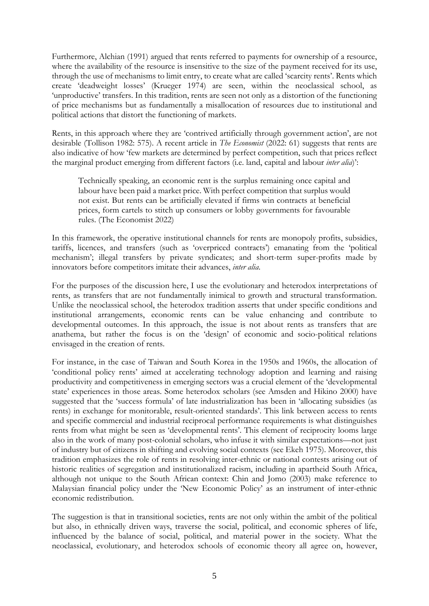Furthermore, Alchian (1991) argued that rents referred to payments for ownership of a resource, where the availability of the resource is insensitive to the size of the payment received for its use, through the use of mechanisms to limit entry, to create what are called 'scarcity rents'. Rents which create 'deadweight losses' (Krueger 1974) are seen, within the neoclassical school, as 'unproductive' transfers. In this tradition, rents are seen not only as a distortion of the functioning of price mechanisms but as fundamentally a misallocation of resources due to institutional and political actions that distort the functioning of markets.

Rents, in this approach where they are 'contrived artificially through government action', are not desirable (Tollison 1982: 575). A recent article in *The Economist* (2022: 61) suggests that rents are also indicative of how 'few markets are determined by perfect competition, such that prices reflect the marginal product emerging from different factors (i.e. land, capital and labour *inter alia*)':

Technically speaking, an economic rent is the surplus remaining once capital and labour have been paid a market price. With perfect competition that surplus would not exist. But rents can be artificially elevated if firms win contracts at beneficial prices, form cartels to stitch up consumers or lobby governments for favourable rules. (The Economist 2022)

In this framework, the operative institutional channels for rents are monopoly profits, subsidies, tariffs, licences, and transfers (such as 'overpriced contracts') emanating from the 'political mechanism'; illegal transfers by private syndicates; and short-term super-profits made by innovators before competitors imitate their advances, *inter alia*.

For the purposes of the discussion here, I use the evolutionary and heterodox interpretations of rents, as transfers that are not fundamentally inimical to growth and structural transformation. Unlike the neoclassical school, the heterodox tradition asserts that under specific conditions and institutional arrangements, economic rents can be value enhancing and contribute to developmental outcomes. In this approach, the issue is not about rents as transfers that are anathema, but rather the focus is on the 'design' of economic and socio-political relations envisaged in the creation of rents.

For instance, in the case of Taiwan and South Korea in the 1950s and 1960s, the allocation of 'conditional policy rents' aimed at accelerating technology adoption and learning and raising productivity and competitiveness in emerging sectors was a crucial element of the 'developmental state' experiences in those areas. Some heterodox scholars (see Amsden and Hikino 2000) have suggested that the 'success formula' of late industrialization has been in 'allocating subsidies (as rents) in exchange for monitorable, result-oriented standards'. This link between access to rents and specific commercial and industrial reciprocal performance requirements is what distinguishes rents from what might be seen as 'developmental rents'. This element of reciprocity looms large also in the work of many post-colonial scholars, who infuse it with similar expectations—not just of industry but of citizens in shifting and evolving social contexts (see Ekeh 1975). Moreover, this tradition emphasizes the role of rents in resolving inter-ethnic or national contests arising out of historic realities of segregation and institutionalized racism, including in apartheid South Africa, although not unique to the South African context: Chin and Jomo (2003) make reference to Malaysian financial policy under the 'New Economic Policy' as an instrument of inter-ethnic economic redistribution.

The suggestion is that in transitional societies, rents are not only within the ambit of the political but also, in ethnically driven ways, traverse the social, political, and economic spheres of life, influenced by the balance of social, political, and material power in the society. What the neoclassical, evolutionary, and heterodox schools of economic theory all agree on, however,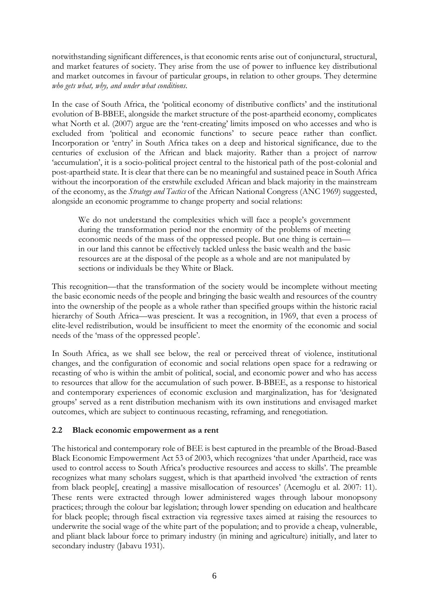notwithstanding significant differences, is that economic rents arise out of conjunctural, structural, and market features of society. They arise from the use of power to influence key distributional and market outcomes in favour of particular groups, in relation to other groups. They determine *who gets what, why, and under what conditions*.

In the case of South Africa, the 'political economy of distributive conflicts' and the institutional evolution of B-BBEE, alongside the market structure of the post-apartheid economy, complicates what North et al. (2007) argue are the 'rent-creating' limits imposed on who accesses and who is excluded from 'political and economic functions' to secure peace rather than conflict. Incorporation or 'entry' in South Africa takes on a deep and historical significance, due to the centuries of exclusion of the African and black majority. Rather than a project of narrow 'accumulation', it is a socio-political project central to the historical path of the post-colonial and post-apartheid state. It is clear that there can be no meaningful and sustained peace in South Africa without the incorporation of the erstwhile excluded African and black majority in the mainstream of the economy, as the *Strategy and Tactics* of the African National Congress (ANC 1969) suggested, alongside an economic programme to change property and social relations:

We do not understand the complexities which will face a people's government during the transformation period nor the enormity of the problems of meeting economic needs of the mass of the oppressed people. But one thing is certain in our land this cannot be effectively tackled unless the basic wealth and the basic resources are at the disposal of the people as a whole and are not manipulated by sections or individuals be they White or Black.

This recognition—that the transformation of the society would be incomplete without meeting the basic economic needs of the people and bringing the basic wealth and resources of the country into the ownership of the people as a whole rather than specified groups within the historic racial hierarchy of South Africa—was prescient. It was a recognition, in 1969, that even a process of elite-level redistribution, would be insufficient to meet the enormity of the economic and social needs of the 'mass of the oppressed people'.

In South Africa, as we shall see below, the real or perceived threat of violence, institutional changes, and the configuration of economic and social relations open space for a redrawing or recasting of who is within the ambit of political, social, and economic power and who has access to resources that allow for the accumulation of such power. B-BBEE, as a response to historical and contemporary experiences of economic exclusion and marginalization, has for 'designated groups' served as a rent distribution mechanism with its own institutions and envisaged market outcomes, which are subject to continuous recasting, reframing, and renegotiation.

#### **2.2 Black economic empowerment as a rent**

The historical and contemporary role of BEE is best captured in the preamble of the Broad-Based Black Economic Empowerment Act 53 of 2003, which recognizes 'that under Apartheid, race was used to control access to South Africa's productive resources and access to skills'. The preamble recognizes what many scholars suggest, which is that apartheid involved 'the extraction of rents from black people[, creating] a massive misallocation of resources' (Acemoglu et al. 2007: 11). These rents were extracted through lower administered wages through labour monopsony practices; through the colour bar legislation; through lower spending on education and healthcare for black people; through fiscal extraction via regressive taxes aimed at raising the resources to underwrite the social wage of the white part of the population; and to provide a cheap, vulnerable, and pliant black labour force to primary industry (in mining and agriculture) initially, and later to secondary industry (Jabavu 1931).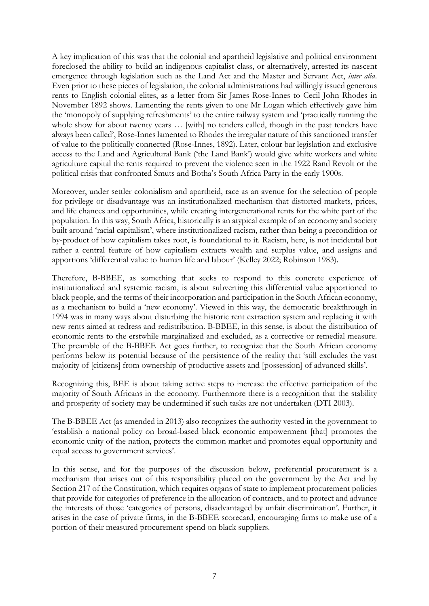A key implication of this was that the colonial and apartheid legislative and political environment foreclosed the ability to build an indigenous capitalist class, or alternatively, arrested its nascent emergence through legislation such as the Land Act and the Master and Servant Act, *inter alia*. Even prior to these pieces of legislation, the colonial administrations had willingly issued generous rents to English colonial elites, as a letter from Sir James Rose-Innes to Cecil John Rhodes in November 1892 shows. Lamenting the rents given to one Mr Logan which effectively gave him the 'monopoly of supplying refreshments' to the entire railway system and 'practically running the whole show for about twenty years ... [with] no tenders called, though in the past tenders have always been called', Rose-Innes lamented to Rhodes the irregular nature of this sanctioned transfer of value to the politically connected (Rose-Innes, 1892). Later, colour bar legislation and exclusive access to the Land and Agricultural Bank ('the Land Bank') would give white workers and white agriculture capital the rents required to prevent the violence seen in the 1922 Rand Revolt or the political crisis that confronted Smuts and Botha's South Africa Party in the early 1900s.

Moreover, under settler colonialism and apartheid, race as an avenue for the selection of people for privilege or disadvantage was an institutionalized mechanism that distorted markets, prices, and life chances and opportunities, while creating intergenerational rents for the white part of the population. In this way, South Africa, historically is an atypical example of an economy and society built around 'racial capitalism', where institutionalized racism, rather than being a precondition or by-product of how capitalism takes root, is foundational to it. Racism, here, is not incidental but rather a central feature of how capitalism extracts wealth and surplus value, and assigns and apportions 'differential value to human life and labour' (Kelley 2022; Robinson 1983).

Therefore, B-BBEE, as something that seeks to respond to this concrete experience of institutionalized and systemic racism, is about subverting this differential value apportioned to black people, and the terms of their incorporation and participation in the South African economy, as a mechanism to build a 'new economy'. Viewed in this way, the democratic breakthrough in 1994 was in many ways about disturbing the historic rent extraction system and replacing it with new rents aimed at redress and redistribution. B-BBEE, in this sense, is about the distribution of economic rents to the erstwhile marginalized and excluded, as a corrective or remedial measure. The preamble of the B-BBEE Act goes further, to recognize that the South African economy performs below its potential because of the persistence of the reality that 'still excludes the vast majority of [citizens] from ownership of productive assets and [possession] of advanced skills'.

Recognizing this, BEE is about taking active steps to increase the effective participation of the majority of South Africans in the economy. Furthermore there is a recognition that the stability and prosperity of society may be undermined if such tasks are not undertaken (DTI 2003).

The B-BBEE Act (as amended in 2013) also recognizes the authority vested in the government to 'establish a national policy on broad-based black economic empowerment [that] promotes the economic unity of the nation, protects the common market and promotes equal opportunity and equal access to government services'.

In this sense, and for the purposes of the discussion below, preferential procurement is a mechanism that arises out of this responsibility placed on the government by the Act and by Section 217 of the Constitution, which requires organs of state to implement procurement policies that provide for categories of preference in the allocation of contracts, and to protect and advance the interests of those 'categories of persons, disadvantaged by unfair discrimination'. Further, it arises in the case of private firms, in the B-BBEE scorecard, encouraging firms to make use of a portion of their measured procurement spend on black suppliers.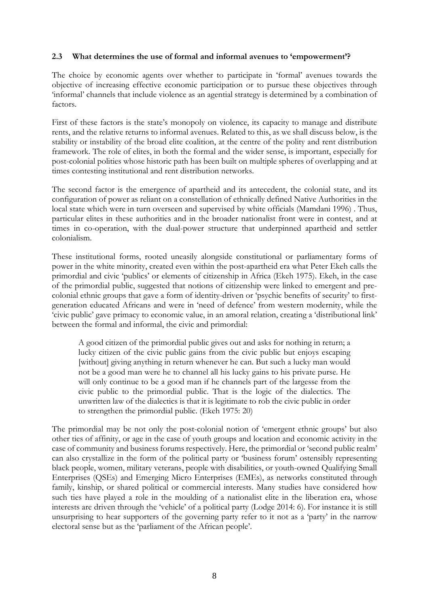#### **2.3 What determines the use of formal and informal avenues to 'empowerment'?**

The choice by economic agents over whether to participate in 'formal' avenues towards the objective of increasing effective economic participation or to pursue these objectives through 'informal' channels that include violence as an agential strategy is determined by a combination of factors.

First of these factors is the state's monopoly on violence, its capacity to manage and distribute rents, and the relative returns to informal avenues. Related to this, as we shall discuss below, is the stability or instability of the broad elite coalition, at the centre of the polity and rent distribution framework. The role of elites, in both the formal and the wider sense, is important, especially for post-colonial polities whose historic path has been built on multiple spheres of overlapping and at times contesting institutional and rent distribution networks.

The second factor is the emergence of apartheid and its antecedent, the colonial state, and its configuration of power as reliant on a constellation of ethnically defined Native Authorities in the local state which were in turn overseen and supervised by white officials (Mamdani 1996) . Thus, particular elites in these authorities and in the broader nationalist front were in contest, and at times in co-operation, with the dual-power structure that underpinned apartheid and settler colonialism.

These institutional forms, rooted uneasily alongside constitutional or parliamentary forms of power in the white minority, created even within the post-apartheid era what Peter Ekeh calls the primordial and civic 'publics' or elements of citizenship in Africa (Ekeh 1975). Ekeh, in the case of the primordial public, suggested that notions of citizenship were linked to emergent and precolonial ethnic groups that gave a form of identity-driven or 'psychic benefits of security' to firstgeneration educated Africans and were in 'need of defence' from western modernity, while the 'civic public' gave primacy to economic value, in an amoral relation, creating a 'distributional link' between the formal and informal, the civic and primordial:

A good citizen of the primordial public gives out and asks for nothing in return; a lucky citizen of the civic public gains from the civic public but enjoys escaping [without] giving anything in return whenever he can. But such a lucky man would not be a good man were he to channel all his lucky gains to his private purse. He will only continue to be a good man if he channels part of the largesse from the civic public to the primordial public. That is the logic of the dialectics. The unwritten law of the dialectics is that it is legitimate to rob the civic public in order to strengthen the primordial public. (Ekeh 1975: 20)

The primordial may be not only the post-colonial notion of 'emergent ethnic groups' but also other ties of affinity, or age in the case of youth groups and location and economic activity in the case of community and business forums respectively. Here, the primordial or 'second public realm' can also crystallize in the form of the political party or 'business forum' ostensibly representing black people, women, military veterans, people with disabilities, or youth-owned Qualifying Small Enterprises (QSEs) and Emerging Micro Enterprises (EMEs), as networks constituted through family, kinship, or shared political or commercial interests. Many studies have considered how such ties have played a role in the moulding of a nationalist elite in the liberation era, whose interests are driven through the 'vehicle' of a political party (Lodge 2014: 6). For instance it is still unsurprising to hear supporters of the governing party refer to it not as a 'party' in the narrow electoral sense but as the 'parliament of the African people'.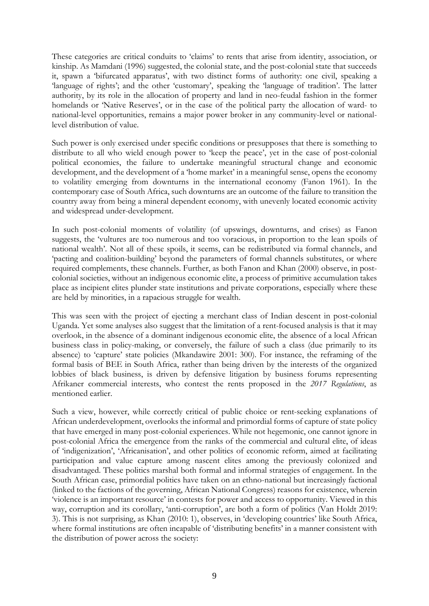These categories are critical conduits to 'claims' to rents that arise from identity, association, or kinship. As Mamdani (1996) suggested, the colonial state, and the post-colonial state that succeeds it, spawn a 'bifurcated apparatus', with two distinct forms of authority: one civil, speaking a 'language of rights'; and the other 'customary', speaking the 'language of tradition'. The latter authority, by its role in the allocation of property and land in neo-feudal fashion in the former homelands or 'Native Reserves', or in the case of the political party the allocation of ward- to national-level opportunities, remains a major power broker in any community-level or nationallevel distribution of value.

Such power is only exercised under specific conditions or presupposes that there is something to distribute to all who wield enough power to 'keep the peace', yet in the case of post-colonial political economies, the failure to undertake meaningful structural change and economic development, and the development of a 'home market' in a meaningful sense, opens the economy to volatility emerging from downturns in the international economy (Fanon 1961). In the contemporary case of South Africa, such downturns are an outcome of the failure to transition the country away from being a mineral dependent economy, with unevenly located economic activity and widespread under-development.

In such post-colonial moments of volatility (of upswings, downturns, and crises) as Fanon suggests, the 'vultures are too numerous and too voracious, in proportion to the lean spoils of national wealth'. Not all of these spoils, it seems, can be redistributed via formal channels, and 'pacting and coalition-building' beyond the parameters of formal channels substitutes, or where required complements, these channels. Further, as both Fanon and Khan (2000) observe, in postcolonial societies, without an indigenous economic elite, a process of primitive accumulation takes place as incipient elites plunder state institutions and private corporations, especially where these are held by minorities, in a rapacious struggle for wealth.

This was seen with the project of ejecting a merchant class of Indian descent in post-colonial Uganda. Yet some analyses also suggest that the limitation of a rent-focused analysis is that it may overlook, in the absence of a dominant indigenous economic elite, the absence of a local African business class in policy-making, or conversely, the failure of such a class (due primarily to its absence) to 'capture' state policies (Mkandawire 2001: 300). For instance, the reframing of the formal basis of BEE in South Africa, rather than being driven by the interests of the organized lobbies of black business, is driven by defensive litigation by business forums representing Afrikaner commercial interests, who contest the rents proposed in the *2017 Regulations*, as mentioned earlier.

Such a view, however, while correctly critical of public choice or rent-seeking explanations of African underdevelopment, overlooks the informal and primordial forms of capture of state policy that have emerged in many post-colonial experiences. While not hegemonic, one cannot ignore in post-colonial Africa the emergence from the ranks of the commercial and cultural elite, of ideas of 'indigenization', 'Africanisation', and other politics of economic reform, aimed at facilitating participation and value capture among nascent elites among the previously colonized and disadvantaged. These politics marshal both formal and informal strategies of engagement. In the South African case, primordial politics have taken on an ethno-national but increasingly factional (linked to the factions of the governing, African National Congress) reasons for existence, wherein 'violence is an important resource' in contests for power and access to opportunity. Viewed in this way, corruption and its corollary, 'anti-corruption', are both a form of politics (Van Holdt 2019: 3). This is not surprising, as Khan (2010: 1), observes, in 'developing countries' like South Africa, where formal institutions are often incapable of 'distributing benefits' in a manner consistent with the distribution of power across the society: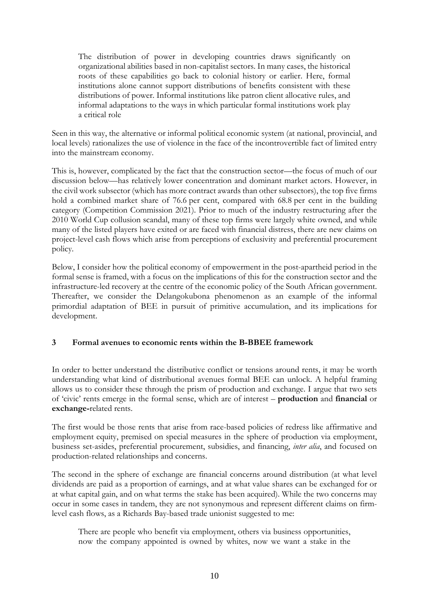The distribution of power in developing countries draws significantly on organizational abilities based in non-capitalist sectors. In many cases, the historical roots of these capabilities go back to colonial history or earlier. Here, formal institutions alone cannot support distributions of benefits consistent with these distributions of power. Informal institutions like patron client allocative rules, and informal adaptations to the ways in which particular formal institutions work play a critical role

Seen in this way, the alternative or informal political economic system (at national, provincial, and local levels) rationalizes the use of violence in the face of the incontrovertible fact of limited entry into the mainstream economy.

This is, however, complicated by the fact that the construction sector—the focus of much of our discussion below—has relatively lower concentration and dominant market actors. However, in the civil work subsector (which has more contract awards than other subsectors), the top five firms hold a combined market share of 76.6 per cent, compared with 68.8 per cent in the building category (Competition Commission 2021). Prior to much of the industry restructuring after the 2010 World Cup collusion scandal, many of these top firms were largely white owned, and while many of the listed players have exited or are faced with financial distress, there are new claims on project-level cash flows which arise from perceptions of exclusivity and preferential procurement policy.

Below, I consider how the political economy of empowerment in the post-apartheid period in the formal sense is framed, with a focus on the implications of this for the construction sector and the infrastructure-led recovery at the centre of the economic policy of the South African government. Thereafter, we consider the Delangokubona phenomenon as an example of the informal primordial adaptation of BEE in pursuit of primitive accumulation, and its implications for development.

# **3 Formal avenues to economic rents within the B-BBEE framework**

In order to better understand the distributive conflict or tensions around rents, it may be worth understanding what kind of distributional avenues formal BEE can unlock. A helpful framing allows us to consider these through the prism of production and exchange. I argue that two sets of 'civic' rents emerge in the formal sense, which are of interest – **production** and **financial** or **exchange-**related rents.

The first would be those rents that arise from race-based policies of redress like affirmative and employment equity, premised on special measures in the sphere of production via employment, business set-asides, preferential procurement, subsidies, and financing, *inter alia*, and focused on production-related relationships and concerns.

The second in the sphere of exchange are financial concerns around distribution (at what level dividends are paid as a proportion of earnings, and at what value shares can be exchanged for or at what capital gain, and on what terms the stake has been acquired). While the two concerns may occur in some cases in tandem, they are not synonymous and represent different claims on firmlevel cash flows, as a Richards Bay-based trade unionist suggested to me:

There are people who benefit via employment, others via business opportunities, now the company appointed is owned by whites, now we want a stake in the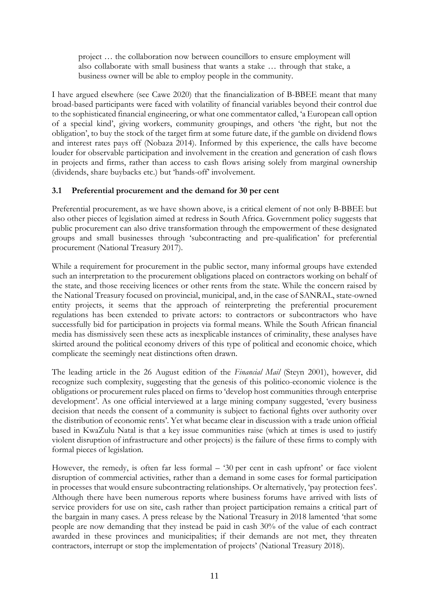project … the collaboration now between councillors to ensure employment will also collaborate with small business that wants a stake … through that stake, a business owner will be able to employ people in the community.

I have argued elsewhere (see Cawe 2020) that the financialization of B-BBEE meant that many broad-based participants were faced with volatility of financial variables beyond their control due to the sophisticated financial engineering, or what one commentator called, 'a European call option of a special kind', giving workers, community groupings, and others 'the right, but not the obligation', to buy the stock of the target firm at some future date, if the gamble on dividend flows and interest rates pays off (Nobaza 2014). Informed by this experience, the calls have become louder for observable participation and involvement in the creation and generation of cash flows in projects and firms, rather than access to cash flows arising solely from marginal ownership (dividends, share buybacks etc.) but 'hands-off' involvement.

# **3.1 Preferential procurement and the demand for 30 per cent**

Preferential procurement, as we have shown above, is a critical element of not only B-BBEE but also other pieces of legislation aimed at redress in South Africa. Government policy suggests that public procurement can also drive transformation through the empowerment of these designated groups and small businesses through 'subcontracting and pre-qualification' for preferential procurement (National Treasury 2017).

While a requirement for procurement in the public sector, many informal groups have extended such an interpretation to the procurement obligations placed on contractors working on behalf of the state, and those receiving licences or other rents from the state. While the concern raised by the National Treasury focused on provincial, municipal, and, in the case of SANRAL, state-owned entity projects, it seems that the approach of reinterpreting the preferential procurement regulations has been extended to private actors: to contractors or subcontractors who have successfully bid for participation in projects via formal means. While the South African financial media has dismissively seen these acts as inexplicable instances of criminality, these analyses have skirted around the political economy drivers of this type of political and economic choice, which complicate the seemingly neat distinctions often drawn.

The leading article in the 26 August edition of the *Financial Mail* (Steyn 2001), however, did recognize such complexity, suggesting that the genesis of this politico-economic violence is the obligations or procurement rules placed on firms to 'develop host communities through enterprise development'. As one official interviewed at a large mining company suggested, 'every business decision that needs the consent of a community is subject to factional fights over authority over the distribution of economic rents'. Yet what became clear in discussion with a trade union official based in KwaZulu Natal is that a key issue communities raise (which at times is used to justify violent disruption of infrastructure and other projects) is the failure of these firms to comply with formal pieces of legislation.

However, the remedy, is often far less formal – '30 per cent in cash upfront' or face violent disruption of commercial activities, rather than a demand in some cases for formal participation in processes that would ensure subcontracting relationships. Or alternatively, 'pay protection fees'. Although there have been numerous reports where business forums have arrived with lists of service providers for use on site, cash rather than project participation remains a critical part of the bargain in many cases. A press release by the National Treasury in 2018 lamented 'that some people are now demanding that they instead be paid in cash 30% of the value of each contract awarded in these provinces and municipalities; if their demands are not met, they threaten contractors, interrupt or stop the implementation of projects' (National Treasury 2018).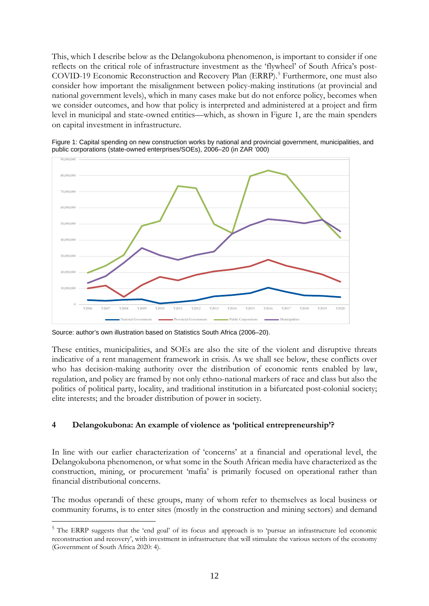This, which I describe below as the Delangokubona phenomenon, is important to consider if one reflects on the critical role of infrastructure investment as the 'flywheel' of South Africa's post-COVID-19 Economic Reconstruction and Recovery Plan (ERRP). [5](#page-13-0) Furthermore, one must also consider how important the misalignment between policy-making institutions (at provincial and national government levels), which in many cases make but do not enforce policy, becomes when we consider outcomes, and how that policy is interpreted and administered at a project and firm level in municipal and state-owned entities—which, as shown in Figure 1, are the main spenders on capital investment in infrastructure.





Source: author's own illustration based on Statistics South Africa (2006–20).

These entities, municipalities, and SOEs are also the site of the violent and disruptive threats indicative of a rent management framework in crisis. As we shall see below, these conflicts over who has decision-making authority over the distribution of economic rents enabled by law, regulation, and policy are framed by not only ethno-national markers of race and class but also the politics of political party, locality, and traditional institution in a bifurcated post-colonial society; elite interests; and the broader distribution of power in society.

#### **4 Delangokubona: An example of violence as 'political entrepreneurship'?**

In line with our earlier characterization of 'concerns' at a financial and operational level, the Delangokubona phenomenon, or what some in the South African media have characterized as the construction, mining, or procurement 'mafia' is primarily focused on operational rather than financial distributional concerns.

The modus operandi of these groups, many of whom refer to themselves as local business or community forums, is to enter sites (mostly in the construction and mining sectors) and demand

<span id="page-13-0"></span><sup>&</sup>lt;sup>5</sup> The ERRP suggests that the 'end goal' of its focus and approach is to 'pursue an infrastructure led economic reconstruction and recovery', with investment in infrastructure that will stimulate the various sectors of the economy (Government of South Africa 2020: 4).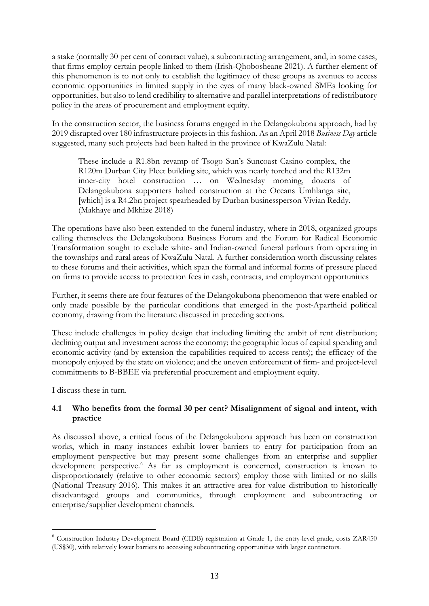a stake (normally 30 per cent of contract value), a subcontracting arrangement, and, in some cases, that firms employ certain people linked to them (Irish-Qhobosheane 2021). A further element of this phenomenon is to not only to establish the legitimacy of these groups as avenues to access economic opportunities in limited supply in the eyes of many black-owned SMEs looking for opportunities, but also to lend credibility to alternative and parallel interpretations of redistributory policy in the areas of procurement and employment equity.

In the construction sector, the business forums engaged in the Delangokubona approach, had by 2019 disrupted over 180 infrastructure projects in this fashion. As an April 2018 *Business Day* article suggested, many such projects had been halted in the province of KwaZulu Natal:

These include a R1.8bn revamp of Tsogo Sun's Suncoast Casino complex, the R120m Durban City Fleet building site, which was nearly torched and the R132m inner-city hotel construction … on Wednesday morning, dozens of Delangokubona supporters halted construction at the Oceans Umhlanga site, [which] is a R4.2bn project spearheaded by Durban businessperson Vivian Reddy. (Makhaye and Mkhize 2018)

The operations have also been extended to the funeral industry, where in 2018, organized groups calling themselves the Delangokubona Business Forum and the Forum for Radical Economic Transformation sought to exclude white- and Indian-owned funeral parlours from operating in the townships and rural areas of KwaZulu Natal. A further consideration worth discussing relates to these forums and their activities, which span the formal and informal forms of pressure placed on firms to provide access to protection fees in cash, contracts, and employment opportunities

Further, it seems there are four features of the Delangokubona phenomenon that were enabled or only made possible by the particular conditions that emerged in the post-Apartheid political economy, drawing from the literature discussed in preceding sections.

These include challenges in policy design that including limiting the ambit of rent distribution; declining output and investment across the economy; the geographic locus of capital spending and economic activity (and by extension the capabilities required to access rents); the efficacy of the monopoly enjoyed by the state on violence; and the uneven enforcement of firm- and project-level commitments to B-BBEE via preferential procurement and employment equity.

I discuss these in turn.

# **4.1 Who benefits from the formal 30 per cent? Misalignment of signal and intent, with practice**

As discussed above, a critical focus of the Delangokubona approach has been on construction works, which in many instances exhibit lower barriers to entry for participation from an employment perspective but may present some challenges from an enterprise and supplier development perspective. [6](#page-14-0) As far as employment is concerned, construction is known to disproportionately (relative to other economic sectors) employ those with limited or no skills (National Treasury 2016). This makes it an attractive area for value distribution to historically disadvantaged groups and communities, through employment and subcontracting or enterprise/supplier development channels.

<span id="page-14-0"></span><sup>6</sup> Construction Industry Development Board (CIDB) registration at Grade 1, the entry-level grade, costs ZAR450 (US\$30), with relatively lower barriers to accessing subcontracting opportunities with larger contractors.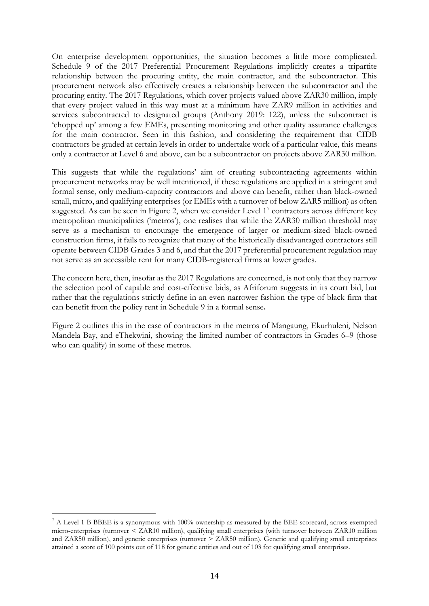On enterprise development opportunities, the situation becomes a little more complicated. Schedule 9 of the 2017 Preferential Procurement Regulations implicitly creates a tripartite relationship between the procuring entity, the main contractor, and the subcontractor. This procurement network also effectively creates a relationship between the subcontractor and the procuring entity. The 2017 Regulations, which cover projects valued above ZAR30 million, imply that every project valued in this way must at a minimum have ZAR9 million in activities and services subcontracted to designated groups (Anthony 2019: 122), unless the subcontract is 'chopped up' among a few EMEs, presenting monitoring and other quality assurance challenges for the main contractor. Seen in this fashion, and considering the requirement that CIDB contractors be graded at certain levels in order to undertake work of a particular value, this means only a contractor at Level 6 and above, can be a subcontractor on projects above ZAR30 million.

This suggests that while the regulations' aim of creating subcontracting agreements within procurement networks may be well intentioned, if these regulations are applied in a stringent and formal sense, only medium-capacity contractors and above can benefit, rather than black-owned small, micro, and qualifying enterprises (or EMEs with a turnover of below ZAR5 million) as often suggested. As can be seen in Figure 2, when we consider Level  $1<sup>7</sup>$  $1<sup>7</sup>$  $1<sup>7</sup>$  contractors across different key metropolitan municipalities ('metros'), one realises that while the ZAR30 million threshold may serve as a mechanism to encourage the emergence of larger or medium-sized black-owned construction firms, it fails to recognize that many of the historically disadvantaged contractors still operate between CIDB Grades 3 and 6, and that the 2017 preferential procurement regulation may not serve as an accessible rent for many CIDB-registered firms at lower grades.

The concern here, then, insofar as the 2017 Regulations are concerned, is not only that they narrow the selection pool of capable and cost-effective bids, as Afriforum suggests in its court bid, but rather that the regulations strictly define in an even narrower fashion the type of black firm that can benefit from the policy rent in Schedule 9 in a formal sense**.** 

Figure 2 outlines this in the case of contractors in the metros of Mangaung, Ekurhuleni, Nelson Mandela Bay, and eThekwini, showing the limited number of contractors in Grades 6–9 (those who can qualify) in some of these metros.

<span id="page-15-0"></span><sup>7</sup> A Level 1 B-BBEE is a synonymous with 100% ownership as measured by the BEE scorecard, across exempted micro-enterprises (turnover < ZAR10 million), qualifying small enterprises (with turnover between ZAR10 million and ZAR50 million), and generic enterprises (turnover > ZAR50 million). Generic and qualifying small enterprises attained a score of 100 points out of 118 for generic entities and out of 103 for qualifying small enterprises.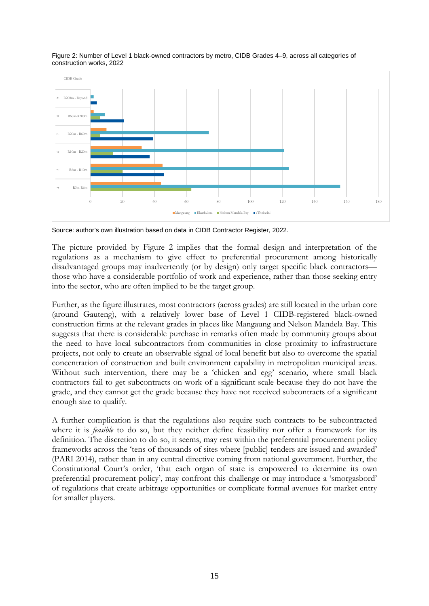

Figure 2: Number of Level 1 black-owned contractors by metro, CIDB Grades 4–9, across all categories of construction works, 2022

Source: author's own illustration based on data in CIDB Contractor Register, 2022.

The picture provided by Figure 2 implies that the formal design and interpretation of the regulations as a mechanism to give effect to preferential procurement among historically disadvantaged groups may inadvertently (or by design) only target specific black contractors those who have a considerable portfolio of work and experience, rather than those seeking entry into the sector, who are often implied to be the target group.

Further, as the figure illustrates, most contractors (across grades) are still located in the urban core (around Gauteng), with a relatively lower base of Level 1 CIDB-registered black-owned construction firms at the relevant grades in places like Mangaung and Nelson Mandela Bay. This suggests that there is considerable purchase in remarks often made by community groups about the need to have local subcontractors from communities in close proximity to infrastructure projects, not only to create an observable signal of local benefit but also to overcome the spatial concentration of construction and built environment capability in metropolitan municipal areas. Without such intervention, there may be a 'chicken and egg' scenario, where small black contractors fail to get subcontracts on work of a significant scale because they do not have the grade, and they cannot get the grade because they have not received subcontracts of a significant enough size to qualify.

A further complication is that the regulations also require such contracts to be subcontracted where it is *feasible* to do so, but they neither define feasibility nor offer a framework for its definition. The discretion to do so, it seems, may rest within the preferential procurement policy frameworks across the 'tens of thousands of sites where [public] tenders are issued and awarded' (PARI 2014), rather than in any central directive coming from national government. Further, the Constitutional Court's order, 'that each organ of state is empowered to determine its own preferential procurement policy', may confront this challenge or may introduce a 'smorgasbord' of regulations that create arbitrage opportunities or complicate formal avenues for market entry for smaller players.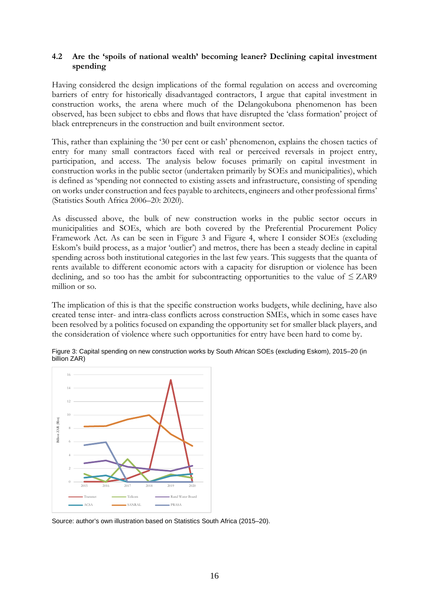#### **4.2 Are the 'spoils of national wealth' becoming leaner? Declining capital investment spending**

Having considered the design implications of the formal regulation on access and overcoming barriers of entry for historically disadvantaged contractors, I argue that capital investment in construction works, the arena where much of the Delangokubona phenomenon has been observed, has been subject to ebbs and flows that have disrupted the 'class formation' project of black entrepreneurs in the construction and built environment sector.

This, rather than explaining the '30 per cent or cash' phenomenon, explains the chosen tactics of entry for many small contractors faced with real or perceived reversals in project entry, participation, and access. The analysis below focuses primarily on capital investment in construction works in the public sector (undertaken primarily by SOEs and municipalities), which is defined as 'spending not connected to existing assets and infrastructure, consisting of spending on works under construction and fees payable to architects, engineers and other professional firms' (Statistics South Africa 2006–20: 2020).

As discussed above, the bulk of new construction works in the public sector occurs in municipalities and SOEs, which are both covered by the Preferential Procurement Policy Framework Act*.* As can be seen in Figure 3 and Figure 4, where I consider SOEs (excluding Eskom's build process, as a major 'outlier') and metros, there has been a steady decline in capital spending across both institutional categories in the last few years. This suggests that the quanta of rents available to different economic actors with a capacity for disruption or violence has been declining, and so too has the ambit for subcontracting opportunities to the value of  $\leq$  ZAR9 million or so.

The implication of this is that the specific construction works budgets, while declining, have also created tense inter- and intra-class conflicts across construction SMEs, which in some cases have been resolved by a politics focused on expanding the opportunity set for smaller black players, and the consideration of violence where such opportunities for entry have been hard to come by.



Figure 3: Capital spending on new construction works by South African SOEs (excluding Eskom), 2015–20 (in billion ZAR)

Source: author's own illustration based on Statistics South Africa (2015–20).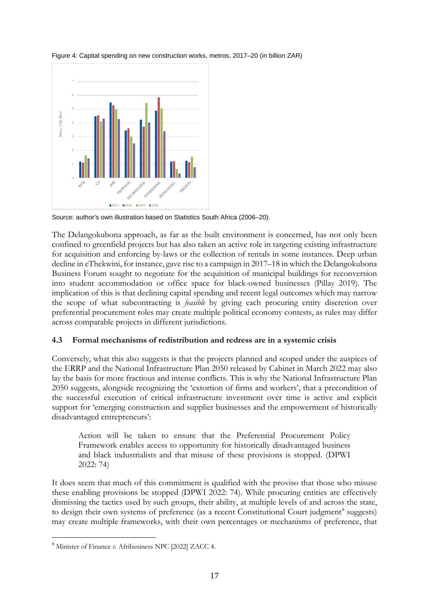

Figure 4: Capital spending on new construction works, metros, 2017–20 (in billion ZAR)

Source: author's own illustration based on Statistics South Africa (2006–20).

The Delangokubona approach, as far as the built environment is concerned, has not only been confined to greenfield projects but has also taken an active role in targeting existing infrastructure for acquisition and enforcing by-laws or the collection of rentals in some instances. Deep urban decline in eThekwini, for instance, gave rise to a campaign in 2017–18 in which the Delangokubona Business Forum sought to negotiate for the acquisition of municipal buildings for reconversion into student accommodation or office space for black-owned businesses (Pillay 2019). The implication of this is that declining capital spending and recent legal outcomes which may narrow the scope of what subcontracting is *feasible* by giving each procuring entity discretion over preferential procurement roles may create multiple political economy contests, as rules may differ across comparable projects in different jurisdictions.

#### **4.3 Formal mechanisms of redistribution and redress are in a systemic crisis**

Conversely, what this also suggests is that the projects planned and scoped under the auspices of the ERRP and the National Infrastructure Plan 2050 released by Cabinet in March 2022 may also lay the basis for more fractious and intense conflicts. This is why the National Infrastructure Plan 2050 suggests, alongside recognizing the 'extortion of firms and workers', that a precondition of the successful execution of critical infrastructure investment over time is active and explicit support for 'emerging construction and supplier businesses and the empowerment of historically disadvantaged entrepreneurs':

Action will be taken to ensure that the Preferential Procurement Policy Framework enables access to opportunity for historically disadvantaged business and black industrialists and that misuse of these provisions is stopped. (DPWI 2022: 74)

It does seem that much of this commitment is qualified with the proviso that those who misuse these enabling provisions be stopped (DPWI 2022: 74). While procuring entities are effectively dismissing the tactics used by such groups, their ability, at multiple levels of and across the state, to design their own systems of preference (as a recent Constitutional Court judgment<sup>[8](#page-18-0)</sup> suggests) may create multiple frameworks, with their own percentages or mechanisms of preference, that

<span id="page-18-0"></span><sup>8</sup> Minister of Finance *v.* Afribusiness NPC [2022] ZACC 4.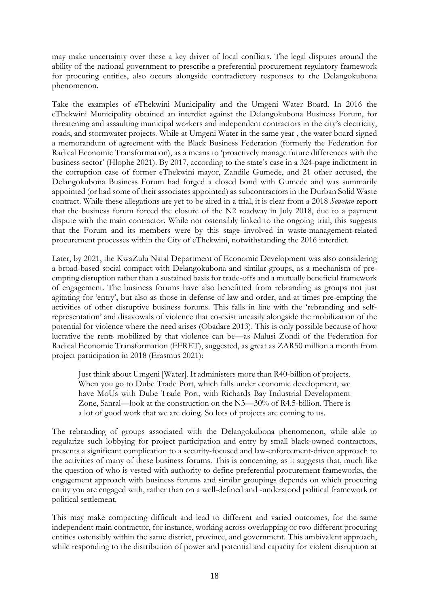may make uncertainty over these a key driver of local conflicts. The legal disputes around the ability of the national government to prescribe a preferential procurement regulatory framework for procuring entities, also occurs alongside contradictory responses to the Delangokubona phenomenon.

Take the examples of eThekwini Municipality and the Umgeni Water Board. In 2016 the eThekwini Municipality obtained an interdict against the Delangokubona Business Forum, for threatening and assaulting municipal workers and independent contractors in the city's electricity, roads, and stormwater projects. While at Umgeni Water in the same year , the water board signed a memorandum of agreement with the Black Business Federation (formerly the Federation for Radical Economic Transformation), as a means to 'proactively manage future differences with the business sector' (Hlophe 2021). By 2017, according to the state's case in a 324-page indictment in the corruption case of former eThekwini mayor, Zandile Gumede, and 21 other accused, the Delangokubona Business Forum had forged a closed bond with Gumede and was summarily appointed (or had some of their associates appointed) as subcontractors in the Durban Solid Waste contract. While these allegations are yet to be aired in a trial, it is clear from a 2018 *Sowetan* report that the business forum forced the closure of the N2 roadway in July 2018, due to a payment dispute with the main contractor. While not ostensibly linked to the ongoing trial, this suggests that the Forum and its members were by this stage involved in waste-management-related procurement processes within the City of eThekwini, notwithstanding the 2016 interdict.

Later, by 2021, the KwaZulu Natal Department of Economic Development was also considering a broad-based social compact with Delangokubona and similar groups, as a mechanism of preempting disruption rather than a sustained basis for trade-offs and a mutually beneficial framework of engagement. The business forums have also benefitted from rebranding as groups not just agitating for 'entry', but also as those in defense of law and order, and at times pre-empting the activities of other disruptive business forums. This falls in line with the 'rebranding and selfrepresentation' and disavowals of violence that co-exist uneasily alongside the mobilization of the potential for violence where the need arises (Obadare 2013). This is only possible because of how lucrative the rents mobilized by that violence can be—as Malusi Zondi of the Federation for Radical Economic Transformation (FFRET), suggested, as great as ZAR50 million a month from project participation in 2018 (Erasmus 2021):

Just think about Umgeni [Water]. It administers more than R40-billion of projects. When you go to Dube Trade Port, which falls under economic development, we have MoUs with Dube Trade Port, with Richards Bay Industrial Development Zone, Sanral—look at the construction on the N3—30% of R4.5-billion. There is a lot of good work that we are doing. So lots of projects are coming to us.

The rebranding of groups associated with the Delangokubona phenomenon, while able to regularize such lobbying for project participation and entry by small black-owned contractors, presents a significant complication to a security-focused and law-enforcement-driven approach to the activities of many of these business forums. This is concerning, as it suggests that, much like the question of who is vested with authority to define preferential procurement frameworks, the engagement approach with business forums and similar groupings depends on which procuring entity you are engaged with, rather than on a well-defined and -understood political framework or political settlement.

This may make compacting difficult and lead to different and varied outcomes, for the same independent main contractor, for instance, working across overlapping or two different procuring entities ostensibly within the same district, province, and government. This ambivalent approach, while responding to the distribution of power and potential and capacity for violent disruption at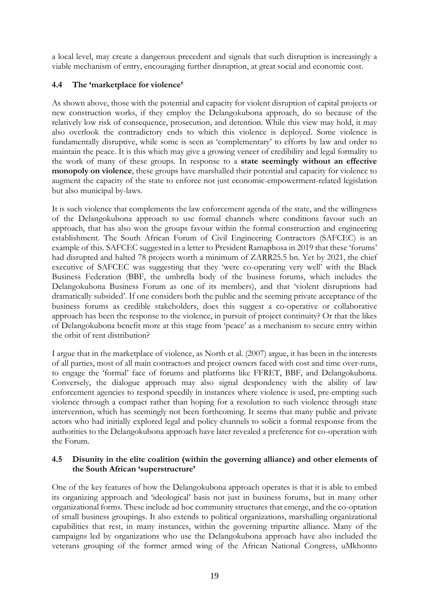a local level, may create a dangerous precedent and signals that such disruption is increasingly a viable mechanism of entry, encouraging further disruption, at great social and economic cost.

# **4.4 The 'marketplace for violence'**

As shown above, those with the potential and capacity for violent disruption of capital projects or new construction works, if they employ the Delangokubona approach, do so because of the relatively low risk of consequence, prosecution, and detention. While this view may hold, it may also overlook the contradictory ends to which this violence is deployed. Some violence is fundamentally disruptive, while some is seen as 'complementary' to efforts by law and order to maintain the peace. It is this which may give a growing veneer of credibility and legal formality to the work of many of these groups. In response to a **state seemingly without an effective monopoly on violence**, these groups have marshalled their potential and capacity for violence to augment the capacity of the state to enforce not just economic-empowerment-related legislation but also municipal by-laws.

It is such violence that complements the law enforcement agenda of the state, and the willingness of the Delangokubona approach to use formal channels where conditions favour such an approach, that has also won the groups favour within the formal construction and engineering establishment. The South African Forum of Civil Engineering Contractors (SAFCEC) is an example of this. SAFCEC suggested in a letter to President Ramaphosa in 2019 that these 'forums' had disrupted and halted 78 projects worth a minimum of ZARR25.5 bn. Yet by 2021, the chief executive of SAFCEC was suggesting that they 'were co-operating very well' with the Black Business Federation (BBF, the umbrella body of the business forums, which includes the Delangokubona Business Forum as one of its members), and that 'violent disruptions had dramatically subsided'. If one considers both the public and the seeming private acceptance of the business forums as credible stakeholders, does this suggest a co-operative or collaborative approach has been the response to the violence, in pursuit of project continuity? Or that the likes of Delangokubona benefit more at this stage from 'peace' as a mechanism to secure entry within the orbit of rent distribution?

I argue that in the marketplace of violence, as North et al. (2007) argue, it has been in the interests of all parties, most of all main contractors and project owners faced with cost and time over-runs, to engage the 'formal' face of forums and platforms like FFRET, BBF, and Delangokubona. Conversely, the dialogue approach may also signal despondency with the ability of law enforcement agencies to respond speedily in instances where violence is used, pre-empting such violence through a compact rather than hoping for a resolution to such violence through state intervention, which has seemingly not been forthcoming. It seems that many public and private actors who had initially explored legal and policy channels to solicit a formal response from the authorities to the Delangokubona approach have later revealed a preference for co-operation with the Forum.

## **4.5 Disunity in the elite coalition (within the governing alliance) and other elements of the South African 'superstructure'**

One of the key features of how the Delangokubona approach operates is that it is able to embed its organizing approach and 'ideological' basis not just in business forums, but in many other organizational forms. These include ad hoc community structures that emerge, and the co-optation of small business groupings. It also extends to political organizations, marshalling organizational capabilities that rest, in many instances, within the governing tripartite alliance. Many of the campaigns led by organizations who use the Delangokubona approach have also included the veterans grouping of the former armed wing of the African National Congress, uMkhonto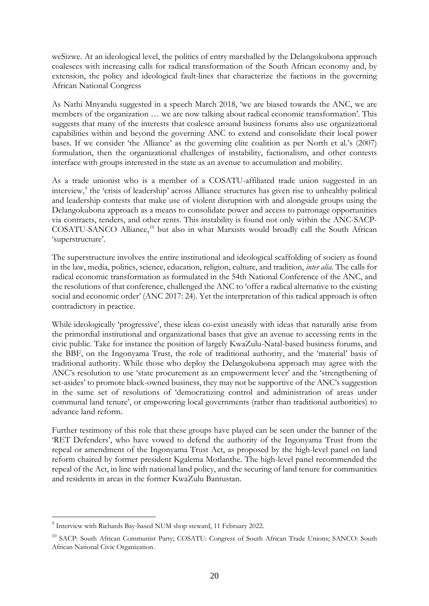weSizwe. At an ideological level, the politics of entry marshalled by the Delangokubona approach coalesces with increasing calls for radical transformation of the South African economy and, by extension, the policy and ideological fault-lines that characterize the factions in the governing African National Congress

As Nathi Mnyandu suggested in a speech March 2018, 'we are biased towards the ANC, we are members of the organization … we are now talking about radical economic transformation'. This suggests that many of the interests that coalesce around business forums also use organizational capabilities within and beyond the governing ANC to extend and consolidate their local power bases. If we consider 'the Alliance' as the governing elite coalition as per North et al.'s (2007) formulation, then the organizational challenges of instability, factionalism, and other contests interface with groups interested in the state as an avenue to accumulation and mobility.

As a trade unionist who is a member of a COSATU-affiliated trade union suggested in an interview, [9](#page-21-0) the 'crisis of leadership' across Alliance structures has given rise to unhealthy political and leadership contests that make use of violent disruption with and alongside groups using the Delangokubona approach as a means to consolidate power and access to patronage opportunities via contracts, tenders, and other rents. This instability is found not only within the ANC-SACP-COSATU-SANCO Alliance,<sup>[10](#page-21-1)</sup> but also in what Marxists would broadly call the South African 'superstructure'.

The superstructure involves the entire institutional and ideological scaffolding of society as found in the law, media, politics, science, education, religion, culture, and tradition, *inter alia*. The calls for radical economic transformation as formulated in the 54th National Conference of the ANC, and the resolutions of that conference, challenged the ANC to 'offer a radical alternative to the existing social and economic order' (ANC 2017: 24). Yet the interpretation of this radical approach is often contradictory in practice.

While ideologically 'progressive', these ideas co-exist uneasily with ideas that naturally arise from the primordial institutional and organizational bases that give an avenue to accessing rents in the civic public. Take for instance the position of largely KwaZulu-Natal-based business forums, and the BBF, on the Ingonyama Trust, the role of traditional authority, and the 'material' basis of traditional authority. While those who deploy the Delangokubona approach may agree with the ANC's resolution to use 'state procurement as an empowerment lever' and the 'strengthening of set-asides' to promote black-owned business, they may not be supportive of the ANC's suggestion in the same set of resolutions of 'democratizing control and administration of areas under communal land tenure', or empowering local governments (rather than traditional authorities) to advance land reform.

Further testimony of this role that these groups have played can be seen under the banner of the 'RET Defenders', who have vowed to defend the authority of the Ingonyama Trust from the repeal or amendment of the Ingonyama Trust Act, as proposed by the high-level panel on land reform chaired by former president Kgalema Motlanthe. The high-level panel recommended the repeal of the Act, in line with national land policy, and the securing of land tenure for communities and residents in areas in the former KwaZulu Bantustan.

<span id="page-21-0"></span><sup>9</sup> Interview with Richards Bay-based NUM shop steward, 11 February 2022.

<span id="page-21-1"></span><sup>&</sup>lt;sup>10</sup> SACP: South African Communist Party; COSATU: Congress of South African Trade Unions; SANCO: South African National Civic Organization.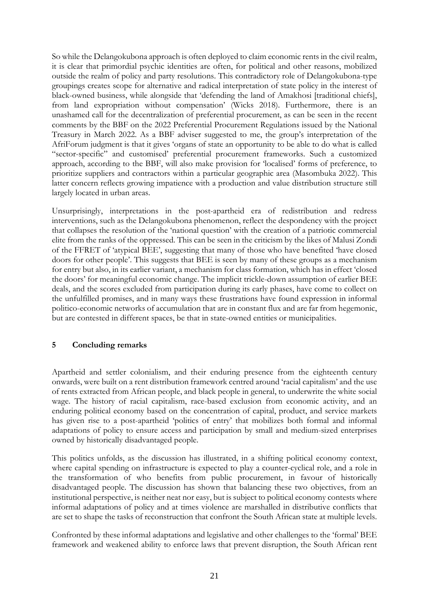So while the Delangokubona approach is often deployed to claim economic rents in the civil realm, it is clear that primordial psychic identities are often, for political and other reasons, mobilized outside the realm of policy and party resolutions. This contradictory role of Delangokubona-type groupings creates scope for alternative and radical interpretation of state policy in the interest of black-owned business, while alongside that 'defending the land of Amakhosi [traditional chiefs], from land expropriation without compensation' (Wicks 2018). Furthermore, there is an unashamed call for the decentralization of preferential procurement, as can be seen in the recent comments by the BBF on the 2022 Preferential Procurement Regulations issued by the National Treasury in March 2022. As a BBF adviser suggested to me, the group's interpretation of the AfriForum judgment is that it gives 'organs of state an opportunity to be able to do what is called "sector-specific" and customised' preferential procurement frameworks. Such a customized approach, according to the BBF, will also make provision for 'localised' forms of preference, to prioritize suppliers and contractors within a particular geographic area (Masombuka 2022). This latter concern reflects growing impatience with a production and value distribution structure still largely located in urban areas.

Unsurprisingly, interpretations in the post-apartheid era of redistribution and redress interventions, such as the Delangokubona phenomenon, reflect the despondency with the project that collapses the resolution of the 'national question' with the creation of a patriotic commercial elite from the ranks of the oppressed. This can be seen in the criticism by the likes of Malusi Zondi of the FFRET of 'atypical BEE', suggesting that many of those who have benefited 'have closed doors for other people'. This suggests that BEE is seen by many of these groups as a mechanism for entry but also, in its earlier variant, a mechanism for class formation, which has in effect 'closed the doors' for meaningful economic change. The implicit trickle-down assumption of earlier BEE deals, and the scores excluded from participation during its early phases, have come to collect on the unfulfilled promises, and in many ways these frustrations have found expression in informal politico-economic networks of accumulation that are in constant flux and are far from hegemonic, but are contested in different spaces, be that in state-owned entities or municipalities.

# **5 Concluding remarks**

Apartheid and settler colonialism, and their enduring presence from the eighteenth century onwards, were built on a rent distribution framework centred around 'racial capitalism' and the use of rents extracted from African people, and black people in general, to underwrite the white social wage. The history of racial capitalism, race-based exclusion from economic activity, and an enduring political economy based on the concentration of capital, product, and service markets has given rise to a post-apartheid 'politics of entry' that mobilizes both formal and informal adaptations of policy to ensure access and participation by small and medium-sized enterprises owned by historically disadvantaged people.

This politics unfolds, as the discussion has illustrated, in a shifting political economy context, where capital spending on infrastructure is expected to play a counter-cyclical role, and a role in the transformation of who benefits from public procurement, in favour of historically disadvantaged people. The discussion has shown that balancing these two objectives, from an institutional perspective, is neither neat nor easy, but is subject to political economy contests where informal adaptations of policy and at times violence are marshalled in distributive conflicts that are set to shape the tasks of reconstruction that confront the South African state at multiple levels.

Confronted by these informal adaptations and legislative and other challenges to the 'formal' BEE framework and weakened ability to enforce laws that prevent disruption, the South African rent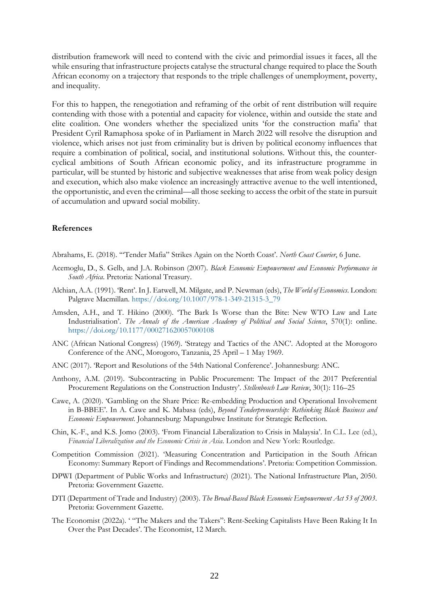distribution framework will need to contend with the civic and primordial issues it faces, all the while ensuring that infrastructure projects catalyse the structural change required to place the South African economy on a trajectory that responds to the triple challenges of unemployment, poverty, and inequality.

For this to happen, the renegotiation and reframing of the orbit of rent distribution will require contending with those with a potential and capacity for violence, within and outside the state and elite coalition. One wonders whether the specialized units 'for the construction mafia' that President Cyril Ramaphosa spoke of in Parliament in March 2022 will resolve the disruption and violence, which arises not just from criminality but is driven by political economy influences that require a combination of political, social, and institutional solutions. Without this, the countercyclical ambitions of South African economic policy, and its infrastructure programme in particular, will be stunted by historic and subjective weaknesses that arise from weak policy design and execution, which also make violence an increasingly attractive avenue to the well intentioned, the opportunistic, and even the criminal—all those seeking to access the orbit of the state in pursuit of accumulation and upward social mobility.

#### **References**

Abrahams, E. (2018). '"Tender Mafia" Strikes Again on the North Coast'. *North Coast Courier*, 6 June.

- Acemoglu, D., S. Gelb, and J.A. Robinson (2007). *Black Economic Empowerment and Economic Performance in South Africa*. Pretoria: National Treasury.
- Alchian, A.A. (1991). 'Rent'. In J. Eatwell, M. Milgate, and P. Newman (eds), *The World of Economics*. London: Palgrave Macmillan. [https://doi.org/10.1007/978-1-349-21315-3\\_79](https://doi.org/10.1007/978-1-349-21315-3_79)
- Amsden, A.H., and T. Hikino (2000). 'The Bark Is Worse than the Bite: New WTO Law and Late Industrialisation'. *The Annals of the American Academy of Political and Social Science*, 570(1): online. [https://doi.org/10.1177/000271620057000108](https://doi.org/10.1177%2F000271620057000108)
- ANC (African National Congress) (1969). 'Strategy and Tactics of the ANC'. Adopted at the Morogoro Conference of the ANC, Morogoro, Tanzania, 25 April – 1 May 1969.
- ANC (2017). 'Report and Resolutions of the 54th National Conference'. Johannesburg: ANC.
- Anthony, A.M. (2019). 'Subcontracting in Public Procurement: The Impact of the 2017 Preferential Procurement Regulations on the Construction Industry'. *Stellenbosch Law Review*, 30(1): 116–25
- Cawe, A. (2020). 'Gambling on the Share Price: Re-embedding Production and Operational Involvement in B-BBEE'. In A. Cawe and K. Mabasa (eds), *Beyond Tenderpreneurship: Rethinking Black Business and Economic Empowerment*. Johannesburg: Mapungubwe Institute for Strategic Reflection.
- Chin, K.-F., and K.S. Jomo (2003). 'From Financial Liberalization to Crisis in Malaysia'. In C.L. Lee (ed.), *Financial Liberalization and the Economic Crisis in Asia*. London and New York: Routledge.
- Competition Commission (2021). 'Measuring Concentration and Participation in the South African Economy: Summary Report of Findings and Recommendations'. Pretoria: Competition Commission.
- DPWI (Department of Public Works and Infrastructure) (2021). The National Infrastructure Plan, 2050. Pretoria: Government Gazette.
- DTI (Department of Trade and Industry) (2003). *The Broad-Based Black Economic Empowerment Act 53 of 2003*. Pretoria: Government Gazette.
- The Economist (2022a). ' "The Makers and the Takers": Rent-Seeking Capitalists Have Been Raking It In Over the Past Decades'. The Economist, 12 March.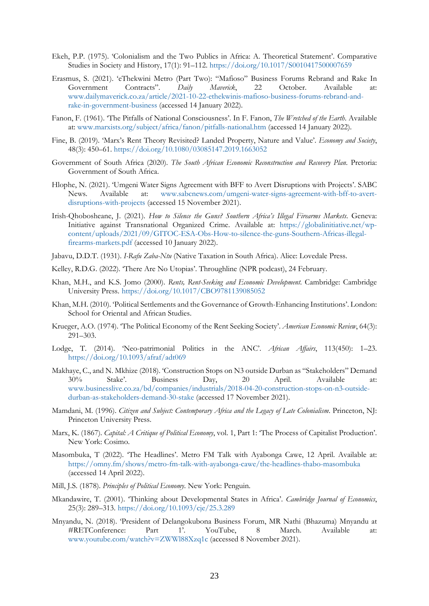- Ekeh, P.P. (1975). 'Colonialism and the Two Publics in Africa: A. Theoretical Statement'. Comparative Studies in Society and History, 17(1): 91–112.<https://doi.org/10.1017/S0010417500007659>
- Erasmus, S. (2021). 'eThekwini Metro (Part Two): "Mafioso" Business Forums Rebrand and Rake In Government Contracts". *Daily Maverick*, 22 October. Available at: [www.dailymaverick.co.za/article/2021-10-22-ethekwinis-mafioso-business-forums-rebrand-and](https://www.dailymaverick.co.za/article/2021-10-22-ethekwinis-mafioso-business-forums-rebrand-and-rake-in-government-business)[rake-in-government-business](https://www.dailymaverick.co.za/article/2021-10-22-ethekwinis-mafioso-business-forums-rebrand-and-rake-in-government-business) (accessed 14 January 2022).
- Fanon, F. (1961). 'The Pitfalls of National Consciousness'. In F. Fanon, *The Wretched of the Earth*. Available at: [www.marxists.org/subject/africa/fanon/pitfalls-national.htm](https://www.marxists.org/subject/africa/fanon/pitfalls-national.htm) (accessed 14 January 2022).
- Fine, B. (2019). 'Marx's Rent Theory Revisited? Landed Property, Nature and Value'. *Economy and Society*, 48(3): 450–61.<https://doi.org/10.1080/03085147.2019.1663052>
- Government of South Africa (2020). *The South African Economic Reconstruction and Recovery Plan*. Pretoria: Government of South Africa.
- Hlophe, N. (2021). 'Umgeni Water Signs Agreement with BFF to Avert Disruptions with Projects'. SABC News. Available at: [www.sabcnews.com/umgeni-water-signs-agreement-with-bff-to-avert](https://www.sabcnews.com/umgeni-water-signs-agreement-with-bff-to-avert-disruptions-with-projects/)[disruptions-with-projects](https://www.sabcnews.com/umgeni-water-signs-agreement-with-bff-to-avert-disruptions-with-projects/) (accessed 15 November 2021).
- Irish-Qhobosheane, J. (2021). *How to Silence the Guns? Southern Africa's Illegal Firearms Markets*. Geneva: Initiative against Transnational Organized Crime. Available at: [https://globalinitiative.net/wp](https://globalinitiative.net/wp-content/uploads/2021/09/GITOC-ESA-Obs-How-to-silence-the-guns-Southern-Africas-illegal-firearms-markets.pdf)[content/uploads/2021/09/GITOC-ESA-Obs-How-to-silence-the-guns-Southern-Africas-illegal](https://globalinitiative.net/wp-content/uploads/2021/09/GITOC-ESA-Obs-How-to-silence-the-guns-Southern-Africas-illegal-firearms-markets.pdf)[firearms-markets.pdf](https://globalinitiative.net/wp-content/uploads/2021/09/GITOC-ESA-Obs-How-to-silence-the-guns-Southern-Africas-illegal-firearms-markets.pdf) (accessed 10 January 2022).
- Jabavu, D.D.T. (1931). *I-Rafu Zaba-Ntu* (Native Taxation in South Africa). Alice: Lovedale Press.
- Kelley, R.D.G. (2022). 'There Are No Utopias'. Throughline (NPR podcast), 24 February.
- Khan, M.H., and K.S. Jomo (2000). *Rents, Rent-Seeking and Economic Development*. Cambridge: Cambridge University Press. <https://doi.org/10.1017/CBO9781139085052>
- Khan, M.H. (2010). 'Political Settlements and the Governance of Growth-Enhancing Institutions'. London: School for Oriental and African Studies.
- Krueger, A.O. (1974). 'The Political Economy of the Rent Seeking Society'. *American Economic Review*, 64(3): 291–303.
- Lodge, T. (2014). 'Neo-patrimonial Politics in the ANC'. *African Affairs*, 113(450): 1–23. <https://doi.org/10.1093/afraf/adt069>
- Makhaye, C., and N. Mkhize (2018). 'Construction Stops on N3 outside Durban as "Stakeholders" Demand 30% Stake'. Business Day, 20 April. Available at: [www.businesslive.co.za/bd/companies/industrials/2018-04-20-construction-stops-on-n3-outside](https://www.businesslive.co.za/bd/companies/industrials/2018-04-20-construction-stops-on-n3-outside-durban-as-stakeholders-demand-30-stake/)[durban-as-stakeholders-demand-30-stake](https://www.businesslive.co.za/bd/companies/industrials/2018-04-20-construction-stops-on-n3-outside-durban-as-stakeholders-demand-30-stake/) (accessed 17 November 2021).
- Mamdani, M. (1996). *Citizen and Subject: Contemporary Africa and the Legacy of Late Colonialism*. Princeton, NJ: Princeton University Press.
- Marx, K. (1867). *Capital: A Critique of Political Economy*, vol. 1, Part 1: 'The Process of Capitalist Production'. New York: Cosimo.
- Masombuka, T (2022). 'The Headlines'. Metro FM Talk with Ayabonga Cawe, 12 April. Available at: <https://omny.fm/shows/metro-fm-talk-with-ayabonga-cawe/the-headlines-thabo-masombuka> (accessed 14 April 2022).
- Mill, J.S. (1878). *Principles of Political Economy*. New York: Penguin.
- Mkandawire, T. (2001). 'Thinking about Developmental States in Africa'. *Cambridge Journal of Economics*, 25(3): 289–313. <https://doi.org/10.1093/cje/25.3.289>
- Mnyandu, N. (2018). 'President of Delangokubona Business Forum, MR Nathi (Bhazuma) Mnyandu at #RETConference: Part 1'. YouTube, 8 March. Available at: [www.youtube.com/watch?v=ZWWl88Xzq1c](https://www.youtube.com/watch?v=ZWWl88Xzq1c) (accessed 8 November 2021).